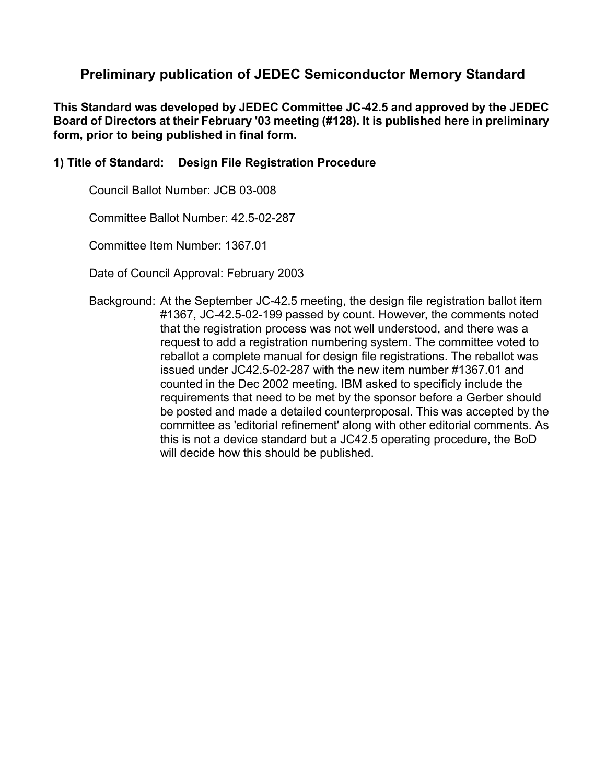## **Preliminary publication of JEDEC Semiconductor Memory Standard**

**This Standard was developed by JEDEC Committee JC-42.5 and approved by the JEDEC Board of Directors at their February '03 meeting (#128). It is published here in preliminary form, prior to being published in final form.**

#### **1) Title of Standard: Design File Registration Procedure**

Council Ballot Number: JCB 03-008

Committee Ballot Number: 42.5-02-287

Committee Item Number: 1367.01

Date of Council Approval: February 2003

Background: At the September JC-42.5 meeting, the design file registration ballot item #1367, JC-42.5-02-199 passed by count. However, the comments noted that the registration process was not well understood, and there was a request to add a registration numbering system. The committee voted to reballot a complete manual for design file registrations. The reballot was issued under JC42.5-02-287 with the new item number #1367.01 and counted in the Dec 2002 meeting. IBM asked to specificly include the requirements that need to be met by the sponsor before a Gerber should be posted and made a detailed counterproposal. This was accepted by the committee as 'editorial refinement' along with other editorial comments. As this is not a device standard but a JC42.5 operating procedure, the BoD will decide how this should be published.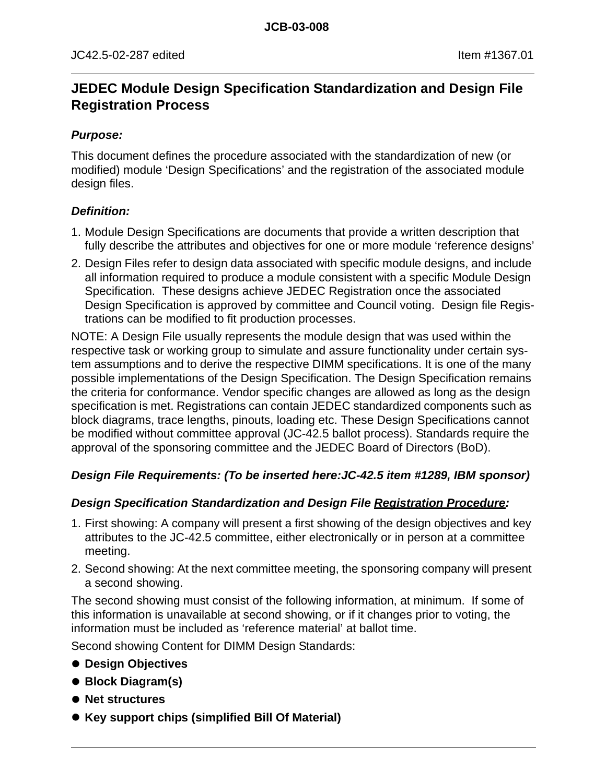# **JEDEC Module Design Specification Standardization and Design File Registration Process**

#### **Purpose:**

This document defines the procedure associated with the standardization of new (or modified) module 'Design Specifications' and the registration of the associated module design files.

#### **Definition:**

- 1. Module Design Specifications are documents that provide a written description that fully describe the attributes and objectives for one or more module 'reference designs'
- 2. Design Files refer to design data associated with specific module designs, and include all information required to produce a module consistent with a specific Module Design Specification. These designs achieve JEDEC Registration once the associated Design Specification is approved by committee and Council voting. Design file Registrations can be modified to fit production processes.

NOTE: A Design File usually represents the module design that was used within the respective task or working group to simulate and assure functionality under certain system assumptions and to derive the respective DIMM specifications. It is one of the many possible implementations of the Design Specification. The Design Specification remains the criteria for conformance. Vendor specific changes are allowed as long as the design specification is met. Registrations can contain JEDEC standardized components such as block diagrams, trace lengths, pinouts, loading etc. These Design Specifications cannot be modified without committee approval (JC-42.5 ballot process). Standards require the approval of the sponsoring committee and the JEDEC Board of Directors (BoD).

## **Design File Requirements: (To be inserted here:JC-42.5 item #1289, IBM sponsor)**

## **Design Specification Standardization and Design File Registration Procedure:**

- 1. First showing: A company will present a first showing of the design objectives and key attributes to the JC-42.5 committee, either electronically or in person at a committee meeting.
- 2. Second showing: At the next committee meeting, the sponsoring company will present a second showing.

The second showing must consist of the following information, at minimum. If some of this information is unavailable at second showing, or if it changes prior to voting, the information must be included as 'reference material' at ballot time.

Second showing Content for DIMM Design Standards:

- **Design Objectives**
- Block Diagram(s)
- $\bullet$  **Net structures**
- **Key support chips (simplified Bill Of Material)**